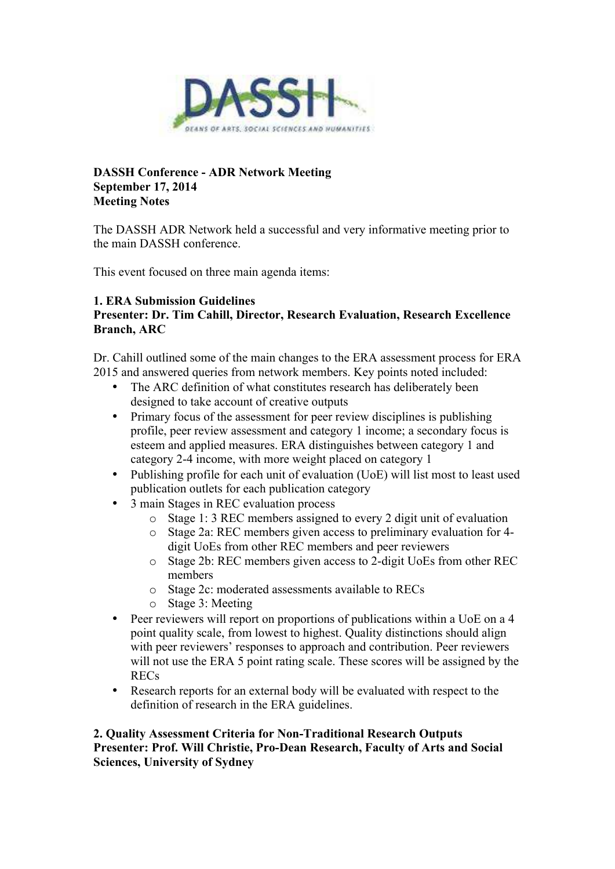

### **DASSH Conference - ADR Network Meeting September 17, 2014 Meeting Notes**

The DASSH ADR Network held a successful and very informative meeting prior to the main DASSH conference.

This event focused on three main agenda items:

# **1. ERA Submission Guidelines**

# **Presenter: Dr. Tim Cahill, Director, Research Evaluation, Research Excellence Branch, ARC**

Dr. Cahill outlined some of the main changes to the ERA assessment process for ERA 2015 and answered queries from network members. Key points noted included:

- The ARC definition of what constitutes research has deliberately been designed to take account of creative outputs
- Primary focus of the assessment for peer review disciplines is publishing profile, peer review assessment and category 1 income; a secondary focus is esteem and applied measures. ERA distinguishes between category 1 and category 2-4 income, with more weight placed on category 1
- Publishing profile for each unit of evaluation (UoE) will list most to least used publication outlets for each publication category
- 3 main Stages in REC evaluation process
	- o Stage 1: 3 REC members assigned to every 2 digit unit of evaluation
	- o Stage 2a: REC members given access to preliminary evaluation for 4 digit UoEs from other REC members and peer reviewers
	- o Stage 2b: REC members given access to 2-digit UoEs from other REC members
	- o Stage 2c: moderated assessments available to RECs
	- o Stage 3: Meeting
- Peer reviewers will report on proportions of publications within a UoE on a 4 point quality scale, from lowest to highest. Quality distinctions should align with peer reviewers' responses to approach and contribution. Peer reviewers will not use the ERA 5 point rating scale. These scores will be assigned by the RECs
- Research reports for an external body will be evaluated with respect to the definition of research in the ERA guidelines.

### **2. Quality Assessment Criteria for Non-Traditional Research Outputs Presenter: Prof. Will Christie, Pro-Dean Research, Faculty of Arts and Social Sciences, University of Sydney**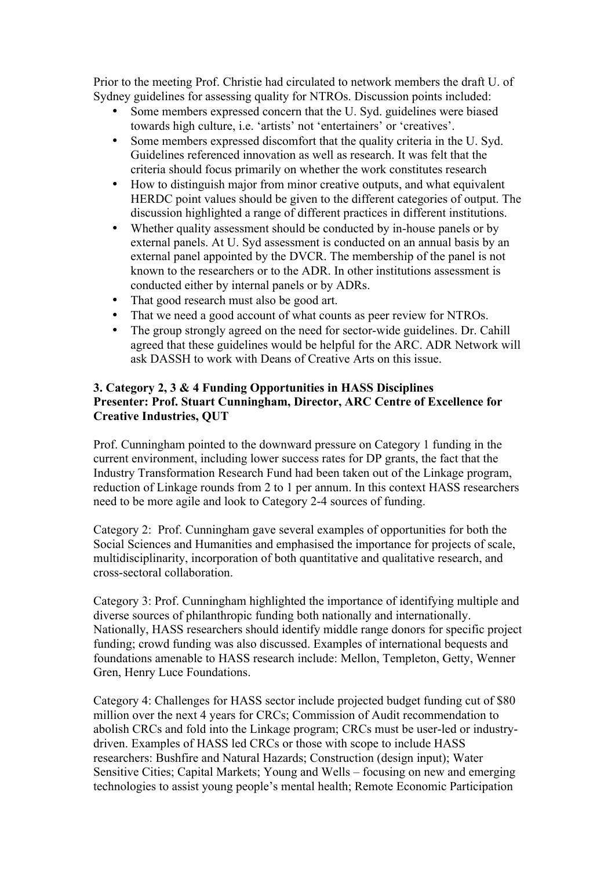Prior to the meeting Prof. Christie had circulated to network members the draft U. of Sydney guidelines for assessing quality for NTROs. Discussion points included:

- Some members expressed concern that the U. Syd. guidelines were biased towards high culture, i.e. 'artists' not 'entertainers' or 'creatives'.
- Some members expressed discomfort that the quality criteria in the U. Syd. Guidelines referenced innovation as well as research. It was felt that the criteria should focus primarily on whether the work constitutes research
- How to distinguish major from minor creative outputs, and what equivalent HERDC point values should be given to the different categories of output. The discussion highlighted a range of different practices in different institutions.
- Whether quality assessment should be conducted by in-house panels or by external panels. At U. Syd assessment is conducted on an annual basis by an external panel appointed by the DVCR. The membership of the panel is not known to the researchers or to the ADR. In other institutions assessment is conducted either by internal panels or by ADRs.
- That good research must also be good art.
- That we need a good account of what counts as peer review for NTROs.
- The group strongly agreed on the need for sector-wide guidelines. Dr. Cahill agreed that these guidelines would be helpful for the ARC. ADR Network will ask DASSH to work with Deans of Creative Arts on this issue.

### **3. Category 2, 3 & 4 Funding Opportunities in HASS Disciplines Presenter: Prof. Stuart Cunningham, Director, ARC Centre of Excellence for Creative Industries, QUT**

Prof. Cunningham pointed to the downward pressure on Category 1 funding in the current environment, including lower success rates for DP grants, the fact that the Industry Transformation Research Fund had been taken out of the Linkage program, reduction of Linkage rounds from 2 to 1 per annum. In this context HASS researchers need to be more agile and look to Category 2-4 sources of funding.

Category 2: Prof. Cunningham gave several examples of opportunities for both the Social Sciences and Humanities and emphasised the importance for projects of scale, multidisciplinarity, incorporation of both quantitative and qualitative research, and cross-sectoral collaboration.

Category 3: Prof. Cunningham highlighted the importance of identifying multiple and diverse sources of philanthropic funding both nationally and internationally. Nationally, HASS researchers should identify middle range donors for specific project funding; crowd funding was also discussed. Examples of international bequests and foundations amenable to HASS research include: Mellon, Templeton, Getty, Wenner Gren, Henry Luce Foundations.

Category 4: Challenges for HASS sector include projected budget funding cut of \$80 million over the next 4 years for CRCs; Commission of Audit recommendation to abolish CRCs and fold into the Linkage program; CRCs must be user-led or industrydriven. Examples of HASS led CRCs or those with scope to include HASS researchers: Bushfire and Natural Hazards; Construction (design input); Water Sensitive Cities; Capital Markets; Young and Wells – focusing on new and emerging technologies to assist young people's mental health; Remote Economic Participation